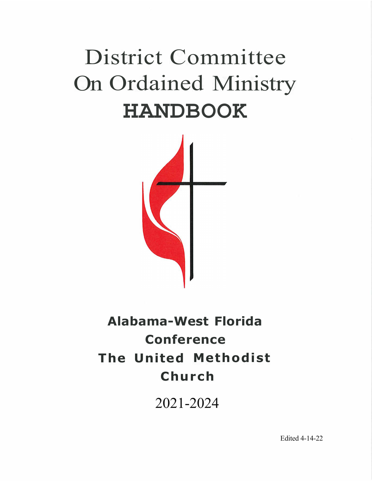# District Committee On Ordained Ministry **HANDBOOK**



## **Alabama-West Florida Conference The United Methodist Church**

2021-2024

Edited 4-14-22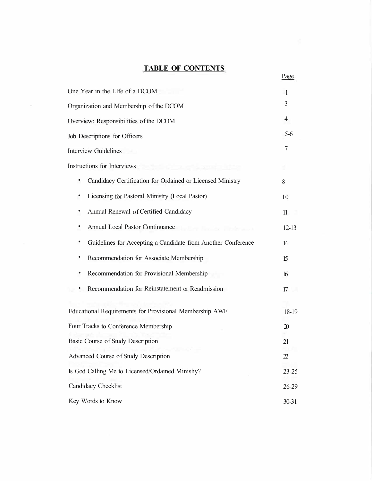## **TABLE OF CONTENTS**

| One Year in the LIfe of a DCOM                               | -1                                                                                                      |
|--------------------------------------------------------------|---------------------------------------------------------------------------------------------------------|
| Organization and Membership of the DCOM                      | 3                                                                                                       |
| Overview: Responsibilities of the DCOM                       | $\overline{4}$                                                                                          |
| Job Descriptions for Officers                                | $5-6$                                                                                                   |
| <b>Interview Guidelines</b>                                  | 7                                                                                                       |
| Instructions for Interviews                                  |                                                                                                         |
| Candidacy Certification for Ordained or Licensed Ministry    | 8                                                                                                       |
| Licensing for Pastoral Ministry (Local Pastor)               | 10                                                                                                      |
| Annual Renewal of Certified Candidacy                        | 11                                                                                                      |
| Annual Local Pastor Continuance                              | $12-13$                                                                                                 |
| Guidelines for Accepting a Candidate from Another Conference | 14                                                                                                      |
| Recommendation for Associate Membership                      | 15                                                                                                      |
| Recommendation for Provisional Membership                    | 16                                                                                                      |
| Recommendation for Reinstatement or Readmission              | 17                                                                                                      |
|                                                              |                                                                                                         |
| Educational Requirements for Provisional Membership AWF      | 18-19                                                                                                   |
| Four Tracks to Conference Membership                         | $\mathfrak{D}$                                                                                          |
| Basic Course of Study Description                            | 21                                                                                                      |
| Advanced Course of Study Description                         | $\mathfrak{D}% _{T}=\mathfrak{D}_{T}\!\left( a,b\right) ,\ \mathfrak{D}_{T}=C_{T}\!\left( a,b\right) ,$ |
| Is God Calling Me to Licensed/Ordained Minishy?              | $23 - 25$                                                                                               |
| Candidacy Checklist                                          | $26-29$                                                                                                 |
| Key Words to Know                                            | $30 - 31$                                                                                               |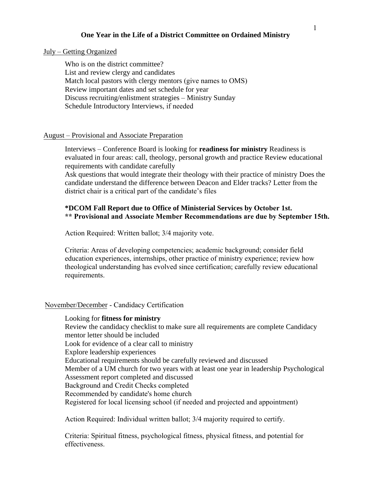#### **One Year in the Life of a District Committee on Ordained Ministry**

#### July – Getting Organized

Who is on the district committee? List and review clergy and candidates Match local pastors with clergy mentors (give names to OMS) Review important dates and set schedule for year Discuss recruiting/enlistment strategies – Ministry Sunday Schedule Introductory Interviews, if needed

#### August – Provisional and Associate Preparation

Interviews – Conference Board is looking for **readiness for ministry** Readiness is evaluated in four areas: call, theology, personal growth and practice Review educational requirements with candidate carefully

Ask questions that would integrate their theology with their practice of ministry Does the candidate understand the difference between Deacon and Elder tracks? Letter from the district chair is a critical part of the candidate's files

## **\*DCOM Fall Report due to Office of Ministerial Services by October 1st. \*\* Provisional and Associate Member Recommendations are due by September 15th.**

Action Required: Written ballot; 3/4 majority vote.

Criteria: Areas of developing competencies; academic background; consider field education experiences, internships, other practice of ministry experience; review how theological understanding has evolved since certification; carefully review educational requirements.

#### November/December - Candidacy Certification

Looking for **fitness for ministry**  Review the candidacy checklist to make sure all requirements are complete Candidacy mentor letter should be included Look for evidence of a clear call to ministry Explore leadership experiences Educational requirements should be carefully reviewed and discussed Member of a UM church for two years with at least one year in leadership Psychological Assessment report completed and discussed Background and Credit Checks completed Recommended by candidate's home church Registered for local licensing school (if needed and projected and appointment)

Action Required: Individual written ballot; 3/4 majority required to certify.

Criteria: Spiritual fitness, psychological fitness, physical fitness, and potential for effectiveness.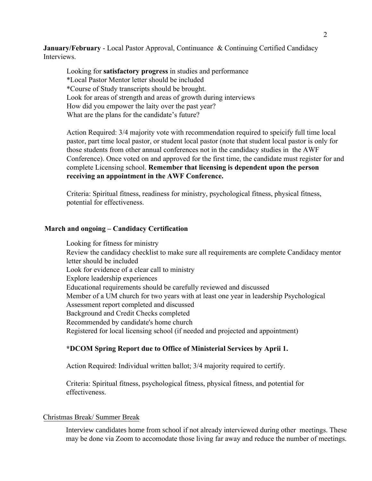**January/February** - Local Pastor Approval, Continuance & Continuing Certified Candidacy Interviews.

Looking for **satisfactory progress** in studies and performance \*Local Pastor Mentor letter should be included \*Course of Study transcripts should be brought. Look for areas of strength and areas of growth during interviews How did you empower the laity over the past year? What are the plans for the candidate's future?

Action Required: 3/4 majority vote with recommendation required to speicify full time local pastor, part time local pastor, or student local pastor (note that student local pastor is only for those students from other annual conferences not in the candidacy studies in the AWF Conference). Once voted on and approved for the first time, the candidate must register for and complete Licensing school. **Remember that licensing is dependent upon the person receiving an appointment in the AWF Conference.**

Criteria: Spiritual fitness, readiness for ministry, psychological fitness, physical fitness, potential for effectiveness.

#### **March and ongoing – Candidacy Certification**

Looking for fitness for ministry Review the candidacy checklist to make sure all requirements are complete Candidacy mentor letter should be included Look for evidence of a clear call to ministry Explore leadership experiences Educational requirements should be carefully reviewed and discussed Member of a UM church for two years with at least one year in leadership Psychological Assessment report completed and discussed Background and Credit Checks completed Recommended by candidate's home church Registered for local licensing school (if needed and projected and appointment)

#### **\*DCOM Spring Report due to Office of Ministerial Services by Aprii 1.**

Action Required: Individual written ballot; 3/4 majority required to certify.

Criteria: Spiritual fitness, psychological fitness, physical fitness, and potential for effectiveness.

#### Christmas Break/ Summer Break

Interview candidates home from school if not already interviewed during other meetings. These may be done via Zoom to accomodate those living far away and reduce the number of meetings.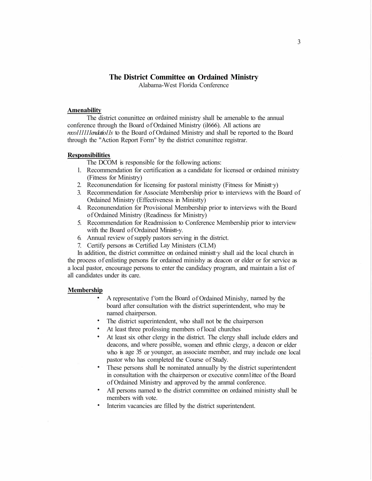## **The District Committee on Ordained Ministry**

Alabama-West Florida Conference

#### **Amenability**

The district conunittee on ordained ministry shall be amenable to the annual conference through the Board of Ordained Ministry (il666). All actions are *reco111111endatio11s* to the Board of Ordained Ministry and shall be reported to the Board through the "Action Report Form" by the district conunittee registrar.

#### **Responsibilities**

The DCOM is responsible for the following actions:

- l. Recommendation for certification as a candidate for licensed or ordained ministry (Fitness for Ministry)
- 2. Reconunendation for licensing for pastoral ministty (Fitness for Ministt·y)
- 3. Recommendation for Associate Membership prior to interviews with the Board of Ordained Ministry (Effectiveness in Ministty)
- 4. Reconunendation for Provisional Membership prior to interviews with the Board of Ordained Ministry (Readiness for Ministry)
- 5. Recommendation for Readmission to Conference Membership prior to interview with the Board of Ordained Ministt-y.
- 6. Annual review of supply pastors serving in the district.
- 7. Certify persons as Certified Lay Ministers (CLM)

In addition, the district committee on ordained ministt y shall aid the local church in the process of enlisting persons for ordained minishy as deacon or elder or for service as a local pastor, encourage persons to enter the candidacy program, and maintain a list of all candidates under its care.

#### **Membership**

- A representative f<sup>t</sup>om the Board of Ordained Minishy, named by the board after consultation with the district superintendent, who may be named chairperson.
- The district superintendent, who shall not be the chairperson
- At least three professing members of local churches
- At least six other clergy in the district. The clergy shall include elders and deacons, and where possible, women and ethnic clergy, a deacon or elder who is age 35 or younger, an associate member, and may include one local pastor who has completed the Course of Study.
- These persons shall be nominated annually by the district superintendent in consultation with the chairperson or executive conm1ittee of the Board of Ordained Ministry and approved by the amrnal conference.
- All persons named to the district committee on ordained ministty shall be members with vote.
- Interim vacancies are filled by the district superintendent.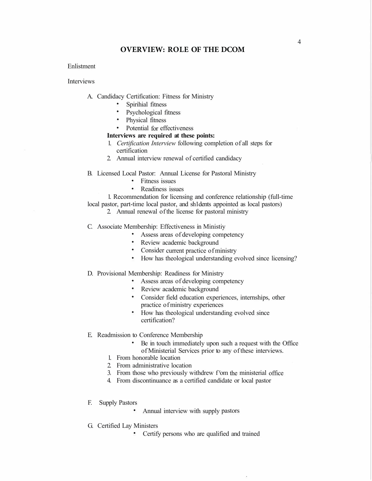#### **OVERVIEW: ROLE OF THE DCOM**

#### Enlistment

Interviews

- A. Candidacy Certification: Fitness for Ministry
	- Spirihial fitness<br>• Psychological fi
	- Psychological fitness
	- Physical fitness
	- Potential for effectiveness

#### **Interviews are required at these points:**

- 1. *Certification Interview* following completion of all steps for certification
- 2. Annual interview renewal of certified candidacy
- B. Licensed Local Pastor: Annual License for Pastoral Ministry
	- Fitness issues
	- Readiness issues

1. Recommendation for licensing and conference relationship (full-time

- local pastor, part-time local pastor, and sh1dents appointed as local pastors)
	- 2. Annual renewal of the license for pastoral ministry
- C. Associate Membership: Effectiveness in Ministiy
	- Assess areas of developing competency
	- Review academic background
	- Consider current practice of ministry
	- How has theological understanding evolved since licensing?
- D. Provisional Membership: Readiness for Ministry
	- Assess areas of developing competency
	- Review academic background
	- Consider field education experiences, internships, other practice of ministry experiences
	- How has theological understanding evolved since certification?
- E. Readmission to Conference Membership
	- Be in touch immediately upon such a request with the Office of Ministerial Services prior to any of these interviews.
	- 1. From honorable location
	- 2. From administrative location
	- 3. From those who previously withdrew f <sup>r</sup>om the ministerial office
	- 4. From discontinuance as a certified candidate or local pastor
- F. Supply Pastors
	- Annual interview with supply pastors
- G. Certified Lay Ministers
	- Certify persons who are qualified and trained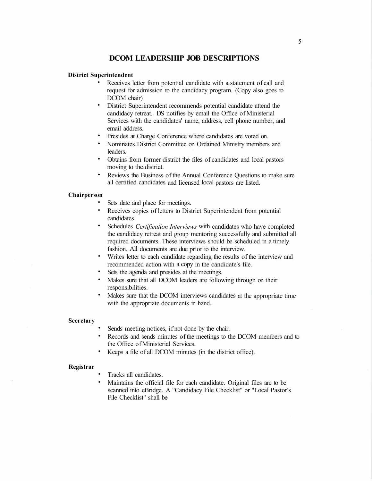## **DCOM LEADERSHIP JOB DESCRIPTIONS**

#### **District Superintendent**

- Receives letter from potential candidate with a statement of call and request for admission to the candidacy program. (Copy also goes to DCOM chair)
- District Superintendent recommends potential candidate attend the candidacy retreat. DS notifies by email the Office of Ministerial Services with the candidates' name, address, cell phone number, and email address.
- Presides at Charge Conference where candidates are voted on.
- Nominates District Committee on Ordained Ministry members and leaders.
- Obtains from former district the files of candidates and local pastors moving to the district.
- Reviews the Business of the Annual Conference Questions to make sure all certified candidates and licensed local pastors are listed.

#### **Chairperson**

- Sets date and place for meetings.
- Receives copies of letters to District Superintendent from potential candidates
- Schedules *Certification Interviews* with candidates who have completed the candidacy retreat and group mentoring successfully and submitted all required documents. These interviews should be scheduled in a timely fashion. All documents are due prior to the interview.
- Writes letter to each candidate regarding the results of the interview and recommended action with a copy in the candidate's file.
- Sets the agenda and presides at the meetings.
- Makes sure that all DCOM leaders are following through on their responsibilities.
- Makes sure that the DCOM interviews candidates at the appropriate time with the appropriate documents in hand.

#### **Secretary**

- Sends meeting notices, if not done by the chair.
- Records and sends minutes of the meetings to the DCOM members and to the Office of Ministerial Services.
- Keeps a file of all DCOM minutes (in the district office).

#### **Registrar**

- Tracks all candidates.
- Maintains the official file for each candidate. Original files are to be scanned into eBridge. A "Candidacy File Checklist" or "Local Pastor's File Checklist" shall be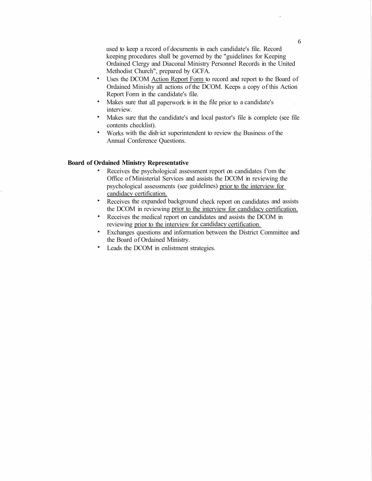used to keep a record of documents in each candidate's file. Record keeping procedures shall be governed by the "guidelines for Keeping Ordained Clergy and Diaconal Ministry Personnel Records in the United Methodist Church", prepared by GCFA.

- Uses the DCOM Action Report Form to record and report to the Board of Ordained Minishy all actions of the DCOM. Keeps a copy of this Action Report Form in the candidate's file.
- Makes sure that all paperwork is in the file prior to a candidate's interview.
- Makes sure that the candidate's and local pastor's file is complete (see file contents checklist).
- Works with the dish·ict superintendent to review the Business of the Annual Conference Questions.

#### **Board of Ordained Ministry Representative**

- Receives the psychological assessment report on candidates f<sup>r</sup>om the Office of Ministerial Services and assists the DCOM in reviewing the psychological assessments (see guidelines) prior to the interview for candidacy certification.
- Receives the expanded background check report on candidates and assists the DCOM in reviewing prior to the interview for candidacy certification.
- Receives the medical report on candidates and assists the DCOM in reviewing prior to the interview for candidacy certification.
- Exchanges questions and information between the District Committee and the Board of Ordained Ministry.
- Leads the DCOM in enlistment strategies.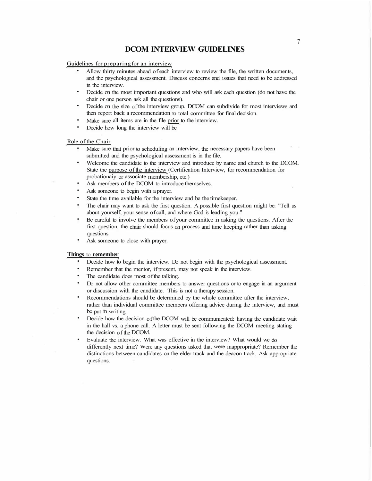#### **DCOM INTERVIEW GUIDELINES**

Guidelines for preparing for an interview

- Allow thirty minutes ahead of each interview to review the file, the written documents, and the psychological assessment. Discuss concerns and issues that need to be addressed in the interview.
- Decide on the most important questions and who will ask each question (do not have the chair or one person ask all the questions).
- Decide on the size of the interview group. DCOM can subdivide for most interviews and then report back a recommendation to total committee for final decision.
- Make sure all items are in the file prior to the interview.
- Decide how long the interview will be.

#### Role of the Chair

- Make sure that prior to scheduling an interview, the necessary papers have been submitted and the psychological assessment is in the file.
- Welcome the candidate to the interview and introduce by name and church to the DCOM. State the purpose of the interview (Certification Interview, for recommendation for probationaiy or associate membership, etc.)
- Ask members of the DCOM to introduce themselves.
- Ask someone to begin with a prayer.
- State the time available for the interview and be the timekeeper.
- The chair may want to ask the first question. A possible first question might be: "Tell us about yourself, your sense of call, and where God is leading you."
- Be careful to involve the members of your committee in asking the questions. After the first question, the chair should focus on process and time keeping rather than asking questions.
- Ask someone to close with prayer.

#### **Things** to **remember**

- Decide how to begin the interview. Do not begin with the psychological assessment.
- Remember that the mentor, if present, may not speak in the interview.
- The candidate does most of the talking.
- Do not allow other committee members to answer questions or to engage in an argument or discussion with the candidate. This is not a therapy session.
- Recommendations should be determined by the whole committee after the interview, rather than individual committee members offering advice during the interview, and must be put in writing.
- Decide how the decision of the DCOM will be communicated: having the candidate wait in the hall vs. a phone call. A letter must be sent following the DCOM meeting stating the decision of the DCOM.
- Evaluate the interview. What was effective in the interview? What would we do differently next time? Were any questions asked that were inappropriate? Remember the distinctions between candidates on the elder track and the deacon track. Ask appropriate questions.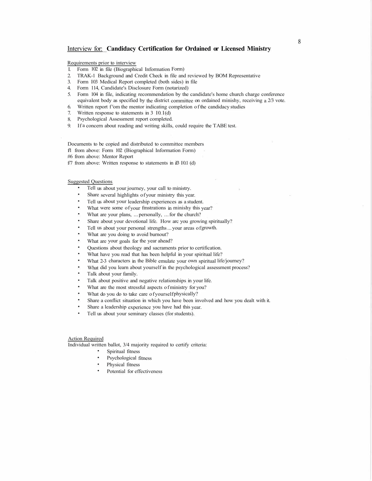#### Interview for: **Candidacy Certification for Ordained or Licensed Ministry**

Requirements prior to interview

- I. Form 102 in file (Biographical Information Form)
- 2. TRAK-1 Background and Credit Check in file and reviewed by BOM Representative
- 3. Form I03 Medical Report completed (both sides) in file
- 4. Form 114, Candidate's Disclosure Form (notarized)
- 5. Form 104 in file, indicating recommendation by the candidate's home church charge conference equivalent body as specified by the district committee on ordained minishy, receiving a 2/3 vote.
- 6. Written report f<sup>t</sup>om the mentor indicating completion of the candidacy studies
- 7. Written response to statements in  $3 \text{ I}0.1(d)$
- 8. Psychological Assessment report completed.
- 9. If a concern about reading and writing skills, could require the T ABE test.

Documents to be copied and distributed to committee members

- f/1 from above: Form 102 (Biographical Information Form)
- #6 from above: Mentor Report
- f/7 from above: Written response to statements in  $i$ B I0.1 (d)

#### Suggested Questions

- Tell us about your journey, your call to ministry.
- Share several highlights of your ministry this year.
- Tell us about your leadership experiences as a student.
- What were some of your fmstrations in minishy this year?
- What are your plans, ... personally, ... for the church?
- Share about your devotional life. How arc you growing spiritually?
- Tell us about your personal strengths ... your areas of growth.
- What are you doing to avoid burnout?
- What are your goals for the year ahead?
- Questions about theology and sacraments prior to certification.
- What have you read that has been helpful in your spiritual life?
- What 2-3 characters in the Bible emulate your own spiritual life/journey?
- What did you learn about yourself in the psychological assessment process?
- Talk about your family.
- Talk about positive and negative relationships in your life.
- What are the most stressful aspects of ministry for you?
- What do you do to take care of yourself physically?
- Share a conflict situation in which you have been involved and how you dealt with it.
- Share a leadership experience you have had this year.
- Tell us about your seminary classes (for students).

#### Action Required

Individual written ballot, 3/4 majority required to certify criteria:

- Spiritual fitness
- Psychological fitness
- Physical fitness
- Potential for effectiveness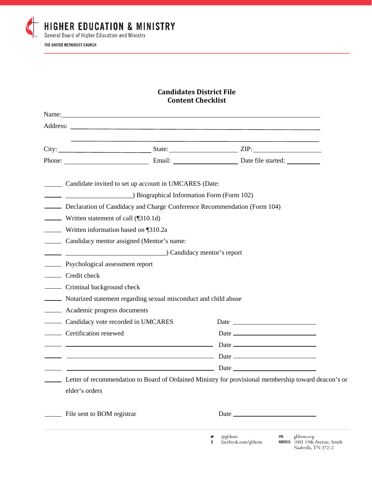

## **Candidates District File Content Checklist**

| Candidate invited to set up account in UMCARES (Date:                                                                                                                                        |                                                             |  |                                                                                                                       |
|----------------------------------------------------------------------------------------------------------------------------------------------------------------------------------------------|-------------------------------------------------------------|--|-----------------------------------------------------------------------------------------------------------------------|
| <b>EXECUTE: EXECUTE: EXECUTE: EXECUTE: EXECUTE: EXECUTE: EXECUTE: EXECUTE: EXECUTE: EXECUTE: EXECUTE: EXECUTE: EXECUTE: EXECUTE: EXECUTE: EXECUTE: EXECUTE: EXECUTE: EXECUTE: EXECUTE: E</b> |                                                             |  |                                                                                                                       |
| Declaration of Candidacy and Charge Conference Recommendation (Form 104)                                                                                                                     |                                                             |  |                                                                                                                       |
| <b>Written statement of call (</b> $[310.1d)$                                                                                                                                                |                                                             |  |                                                                                                                       |
| Written information based on [310.2a]                                                                                                                                                        |                                                             |  |                                                                                                                       |
| Candidacy mentor assigned (Mentor's name:                                                                                                                                                    |                                                             |  |                                                                                                                       |
| Candidacy mentor's report                                                                                                                                                                    |                                                             |  |                                                                                                                       |
| <b>Execution</b> Psychological assessment report                                                                                                                                             |                                                             |  |                                                                                                                       |
| Credit check                                                                                                                                                                                 |                                                             |  |                                                                                                                       |
| - Criminal background check                                                                                                                                                                  |                                                             |  |                                                                                                                       |
| Notarized statement regarding sexual misconduct and child abuse                                                                                                                              |                                                             |  |                                                                                                                       |
| Academic progress documents                                                                                                                                                                  |                                                             |  |                                                                                                                       |
| - Candidacy vote recorded in UMCARES                                                                                                                                                         |                                                             |  |                                                                                                                       |
| _______ Certification renewed                                                                                                                                                                |                                                             |  |                                                                                                                       |
|                                                                                                                                                                                              | <u> 1989 - Johann Stoff, Amerikaansk politiker († 1908)</u> |  |                                                                                                                       |
|                                                                                                                                                                                              |                                                             |  |                                                                                                                       |
|                                                                                                                                                                                              |                                                             |  | $\begin{array}{c c c c c} \hline \multicolumn{3}{c }{\textbf{Date}} & \multicolumn{3}{c }{\textbf{Date}} \end{array}$ |
|                                                                                                                                                                                              |                                                             |  | Letter of recommendation to Board of Ordained Ministry for provisional membership toward deacon's or                  |
| elder's orders                                                                                                                                                                               |                                                             |  |                                                                                                                       |
| File sent to BOM registrar                                                                                                                                                                   |                                                             |  | Date $\_\_\_\_\_\_\_\_\_\_\_\_\_$                                                                                     |

facebook.com/gbhem f

ADDRESS 1001 19th Avenue, South Nashville, TN 37212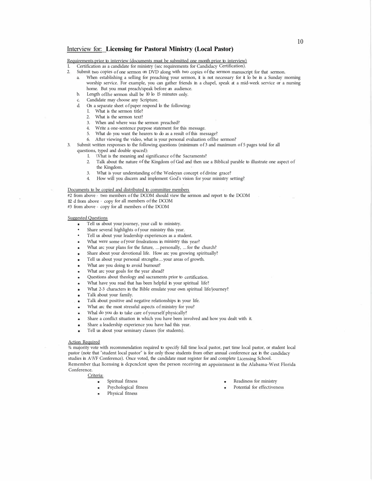#### Interview for: **Licensing for Pastoral Ministry (Local Pastor)**

Requirements prior to interview (documents must be submitted one month prior to interview)

- I. Certification as a candidate for ministry (sec requirements for Candidacy Certification).
- 2. Submit two copies of one sermon on DVD along with two copies of the sermon manuscript for that sermon.
	- a. When establishing a selling for preaching your sermon, it is not necessary for it lo be in a Sunday morning worship service. For example, you can gather friends in a chapel, speak at a mid-week service or a nursing home. But you must preach/speak before an audience.
	- b. Length oflhe sermon shall be 10 lo 15 minutes only.
	- c. Candidate may choose any Scripture.
	- d. On a separate sheet of paper respond lo the following:
		- I. What is the sermon title?
		- 2. What is the sermon text?
		- 3. When and where was the sermon preached?
		- 4. Write a one-sentence purpose statement for this message.
		- 5. What do you want the hearers to do as a result of this message?
		- 6. After viewing the video, what is your personal evaluation oflhe sermon?
- 3. Submit written responses to the following questions (minimum of 3 and maximum of 5 pages total for all questions, typed and double spaced):
	- I. \Vhat is the meaning and significance of the Sacraments?
	- 2. Talk about the nature of the Kingdom of God and then use a Biblical parable to illustrate one aspect of the Kingdom.
	- 3. What is your understanding of the Wesleyan concept of divine grace?
	- 4. How will you discern and implement God's vision for your ministry setting?

#### Documents to be copied and distributed to committee members

- #2 from above two members of the DCOM should view the sermon and report to the DCOM
- 112 d from above copy for all members of the DCOM
- #3 from above copy for all members of the DCOM

#### Suggested Questions

- Tell us about your journey, your call to ministry.
- Share several highlights of your ministry this year.
- Tell us about your leadership experiences as a student.
- What were some of your frnslrations in ministry this year?
- What arc your plans for the future, ... personally, ... for the church?
- Share about your devotional life. How arc you growing spiritually?
- Tell us about your personal strcngths ... your areas of growth.
- What are you doing to avoid burnout?
- What arc your goals for the year ahead?
- Questions about theology and sacraments prior to certification.
- What have you read that has been helpful in your spiritual life?
- What 2-3 characters in the Bible emulate your own spiritual life/journey?
- Talk about your family.
- Talk about positive and negative relationships in your life.
- What arc the most stressful aspects of ministry for you?
- Whal do you do to take care of yourself physically?
- Share a conflict situation in which you have been involved and how you dealt with it.
- Share a leadership experience you have had this year.
- Tell us about your seminary classes (for students).

#### Action Required

¾ majority vote with recommendation required to specify full time local pastor, part time local pastor, or student local pastor (note that "student local pastor" is for only those students from other annual conference not in the candidacy studies in A \VF Conference). Once voted, the candidate must register for and complete Licensing School. Remember that licensing is dcpcnclcnt upon the person receiving an appointment in the Alabama-West Florida Conference.

Criteria:

- Spiritual fitness
- Psychological fitness
- Physical fitness
- Readiness for ministry
- Potential for effectiveness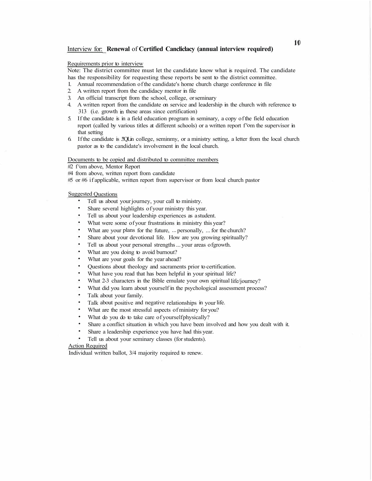#### Interview for: **Renewal** of **Certified Cancliclacy (annual interview required)**

#### Requirements prior to interview

Note: The district committee must let the candidate know what is required. The candidate has the responsibility for requesting these reports be sent to the district committee.

- I. Annual recommendation of the candidate's home church charge conference in file
- 2. A written report from the candidacy mentor in file
- 3. An official transcript from the school, college, or seminary
- 4. A written report from the candidate on service and leadership in the church with reference to 313 (i.e. growth in these areas since certification)
- 5. If the candidate is in a field education program in seminary, a copy of the field education report (called by various titles at different schools) or a written report f<sup>r</sup>om the supervisor in that setting
- 6. If the candidate is .!!QLin college, seminmy, or a ministry setting, a letter from the local church pastor as to the candidate's involvement in the local church.

#### Documents to be copied and distributed to committee members

#2 f <sup>r</sup>om above, Mentor Report

#4 from above, written report from candidate

#5 or #6 if applicable, written report from supervisor or from local church pastor

#### Suggested Questions

- Tell us about your journey, your call to ministry.
- Share several highlights of your ministry this year.
- Tell us about your leadership experiences as a student.
- What were some of your frustrations in ministry this year?
- What are your plans for the future, ... personally, ... for the church?
- Share about your devotional life. How are you growing spiritually?
- Tell us about your personal strengths ... your areas of growth.
- What are you doing to avoid burnout?
- What are your goals for the year ahead?
- Questions about theology and sacraments prior to certification.
- What have you read that has been helpful in your spiritual life?
- What 2-3 characters in the Bible emulate your own spiritual life/journey?
- What did you learn about yourself in the psychological assessment process?
- Talk about your family.
- Talk about positive and negative relationships in your life.
- What are the most stressful aspects of ministry for you?
- What do you do to take care of yourself physically?
- Share a conflict situation in which you have been involved and how you dealt with it.
- Share a leadership experience you have had this year.
- Tell us about your seminary classes (for students).

#### Action Required

Individual written ballot, 3/4 majority required to renew.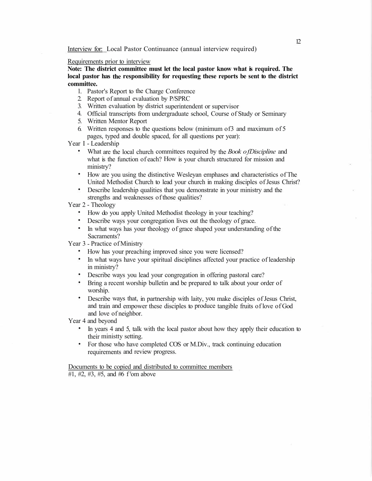#### Requirements prior to interview

**Note: The district committee must let the local pastor know what is required. The local pastor has the responsibility for requesting these reports be sent to the district committee.** 

- l. Pastor's Report to the Charge Conference
- 2. Report of annual evaluation by P/SPRC
- 3. Written evaluation by district superintendent or supervisor
- 4. Official transcripts from undergraduate school, Course of Study or Seminary
- 5. Written Mentor Report
- 6. Written responses to the questions below (minimum of3 and maximum of 5 pages, typed and double spaced, for all questions per year):

Year I - Leadership

- What are the local church committees required by the *Book of Discipline* and what is the function of each? How is your church structured for mission and ministry?
- How are you using the distinctive Wesleyan emphases and characteristics of The United Methodist Church to lead your church in making disciples of Jesus Christ?
- Describe leadership qualities that you demonstrate in your ministry and the strengths and weaknesses of those qualities?

Year 2 - Theology

- How do you apply United Methodist theology in your teaching?
- Describe ways your congregation lives out the theology of grace.
- In what ways has your theology of grace shaped your understanding of the Sacraments?

Year 3 - Practice of Ministry

- How has your preaching improved since you were licensed?
- In what ways have your spiritual disciplines affected your practice of leadership in ministry?
- Describe ways you lead your congregation in offering pastoral care?
- Bring a recent worship bulletin and be prepared to talk about your order of worship.
- Describe ways that, in partnership with laity, you make disciples of Jesus Christ, and train and empower these disciples to produce tangible fruits of love of God and love of neighbor.

Year 4 and beyond

- In years 4 and 5, talk with the local pastor about how they apply their education to their ministty setting.
- For those who have completed COS or M.Div., track continuing education requirements and review progress.

Documents to be copied and distributed to committee members

#1, #2, #3, #5, and #6 f rom above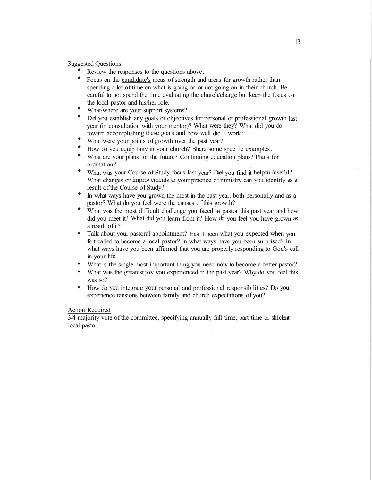## Suggested Questions<br>
• Review the re

- Review the responses to the questions above .
- Focus on the candidate's areas of strength and areas for growth rather than spending a lot of time on what is going on or not going on in their church. Be careful to not spend the time evaluating the church/charge but keep the focus on the local pastor and his/her role.
- What/where are your support systems?
- Diel you establish any goals or objectives for personal or professional growth last year (in consultation with your mentor)? What were they? What did you do toward accomplishing these goals and how well did it work?
- What were your points of growth over the past year?
- How do you equip laity in your church? Share some specific examples .
- What are your plans for the future? Continuing education plans? Plans for ordination?
- What was your Course of Study focus last year? Diel you find it helpful/useful? What changes or improvements to your practice of ministry can you identify as a result of the Course of Study?
- In vvhat ways have you grown the most in the past year, both personally and as a pastor? What do you feel were the causes of this growth?
- What was the most difficult challenge you faced as pastor this past year and how did you meet it? What did you learn from it? How do you feel you have grown as a result of it?
- Talk about your pastoral appointment? Has it been what you expected when you felt called to become a local pastor? In what ways have you been surprised? In what ways have you been affirmed that you are properly responding to God's call in your life.
- What is the single most important thing you need now to become a better pastor?
- What was the greatest joy you experienced in the past year? Why do you feel this was so?
- How do you integrate your personal and professional responsibilities? Do you experience tensions between family and church expectations of you?

#### Action Required

3/4 majority vote of the committee, specifying annually full time, part time or sh1clent local pastor.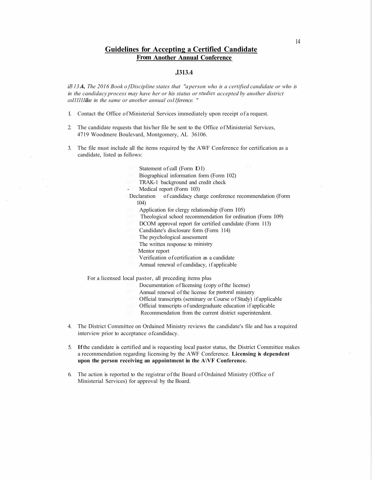#### **Guidelines for Accepting a Certified Candidate From Another Annual Conference**

#### **,I313.4**

*iJ3 l 3* **.4,** *The 2016 Book of Discipline states that "a person who is a certified candidate or who is in the candidacy process may have her or his status or studies accepted by another district co111111illee in the same or another annual co11ference. "* 

- I. Contact the Office of Ministerial Services immediately upon receipt of a request.
- 2. The candidate requests that his/her file be sent to the Office of Ministerial Services, 4719 Woodmere Boulevard, Montgomery, AL 36106.
- 3. The file must include all the items required by the A WF Conference for certification as a candidate, listed as follows:

Statement of call (Form IO I) Biographical information form (Form 102) TRAK-1 background and credit check Medical report (Form 103) Declaration of candidacy charge conference recommendation (Form 104) Application for clergy relationship (Form 105) Theological school recommendation for ordination (Form 109) DCOM approval report for certified candidate (Form 113) Candidate's disclosure form (Form 114) The psychological assessment The written response to ministry Mentor report Verification of certification as a candidate Annual renewal of candidacy, if applicable

For a licensed local pastor, all preceding items plus

Documentation of I icensing (copy of the license) Annual renewal of the license for pastoral ministry Official transcripts (seminary or Course of Study) if applicable Official transcripts of undergraduate education if applicable Recommendation from the current district superintendent.

- 4. The District Committee on Ordained Ministry reviews the candidate's file and has a required interview prior to acceptance of candidacy.
- 5. **If** the candidate is certified and is requesting local pastor status, the District Committee makes a recommendation regarding licensing by the A WF Conference. **Licensing is dependent** upon the person receiving an appointment in the A\VF Conference.
- 6. The action is reported to the registrar of the Board of Ordained Ministry (Office of Ministerial Services) for approval by the Board.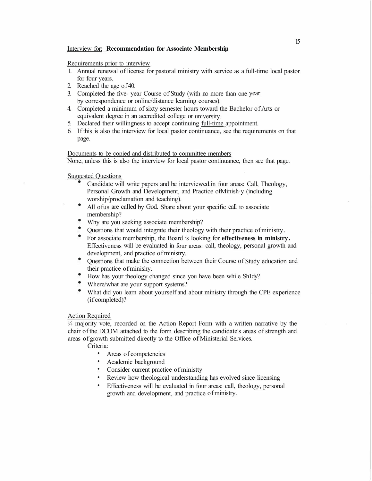#### Interview for: **Recommendation for Associate Membership**

#### Requirements prior to interview

- 1. Annual renewal of license for pastoral ministry with service as a full-time local pastor for four years.
- 2. Reached the age of 40.
- 3. Completed the five- year Course of Study (with no more than one year by correspondence or online/distance learning courses).
- 4. Completed a minimum of sixty semester hours toward the Bachelor of Arts or equivalent degree in an accredited college or university.
- 5. Declared their willingness to accept continuing full-time appointment.
- 6. If this is also the interview for local pastor continuance, see the requirements on that page.

### Documents to be copied and distributed to committee members

None, unless this is also the interview for local pastor continuance, then see that page.

Suggested Questions<br>
Candidate wil

- Candidate will write papers and be interviewed.in four areas: Call, Theology, Personal Growth and Development, and Practice ofMinish·y (including worship/proclamation and teaching).
- All ofus are called by God. Share about your specific call to associate membership?
- Why are you seeking associate membership?
- Questions that would integrate their theology with their practice of ministty .
- For associate membership, the Board is looking for **effectiveness in ministry .**  Effectiveness will be evaluated in four areas: call, theology, personal growth and development, and practice of ministry.
- $\bullet$ Questions that make the connection between their Course of Study education and their practice of minishy.
- How has your theology changed since you have been while Sh1dy?
- Where/what are your support systems?
- What did you learn about yourself and about ministry through the CPE experience (if completed)?

#### Action Required

¾ majority vote, recorded on the Action Report Form with a written narrative by the chair of the DCOM attached to the form describing the candidate's areas of strength and areas of growth submitted directly to the Office of Ministerial Services.

Criteria:

- Areas of competencies
- Academic background
- Consider current practice of ministty
- Review how theological understanding has evolved since licensing
- Effectiveness will be evaluated in four areas: call, theology, personal growth and development, and practice of ministry.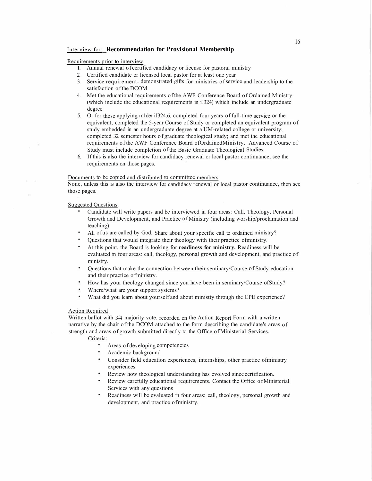#### Interview for: **Recommendation for Provisional Membership**

#### Requirements prior to interview

- I. Annual renewal of certified candidacy or license for pastoral ministry
- 2. Certified candidate or licensed local pastor for at least one year
- 3. Service requirement- demonstrated gifts for ministries of service and leadership to the satisfaction of the DCOM
- 4. Met the educational requirements of the A WF Conference Board of Ordained Ministry (which include the educational requirements in iJ324) which include an undergraduate degree
- 5. Or for those applying m1der iJ324.6, completed four years of full-time service or the equivalent; completed the 5-year Course of Study or completed an equivalent program of study embedded in an undergraduate degree at a UM-related college or university; completed 32 semester hours of graduate theological study; and met the educational requirements of the AWF Conference Board ofOrdainedMinistry. Advanced Course of Study must include completion of the Basic Graduate Theological Studies.
- 6. If this is also the interview for candidacy renewal or local pastor continuance, see the requirements on those pages.

#### Documents to be copied and distributed to committee members

None, unless this is also the interview for candidacy renewal or local pastor continuance, then see those pages.

#### Suggested Questions

- Candidate will write papers and be interviewed in four areas: Call, Theology, Personal Growth and Development, and Practice of Ministry (including worship/proclamation and teaching).
- All ofus are called by God. Share about your specific call to ordained ministry?
- Questions that would integrate their theology with their practice ofministry.
- At this point, the Board is looking for **readiness for ministry.** Readiness will be evaluated in four areas: call, theology, personal growth and development, and practice of ministry.
- Questions that make the connection between their seminary/Course of Study education and their practice of ministry.
- How has your theology changed since you have been in seminary/Course ofStudy?
- Where/what are your support systems?
- What did you learn about yourself and about ministty through the CPE experience?

#### Action Required

Written ballot with 3/4 majority vote, recorded on the Action Report Form with a written narrative by the chair of the DCOM attached to the form describing the candidate's areas of strength and areas of growth submitted directly to the Office of Ministerial Services.

Criteria:

- Areas of developing competencies
- Academic background
- Consider field education experiences, internships, other practice ofministry experiences
- Review how theological understanding has evolved since certification.
- Review carefully educational requirements. Contact the Office of Ministerial Services with any questions
- Readiness will be evaluated in four areas: call, theology, personal growth and development, and practice of ministry.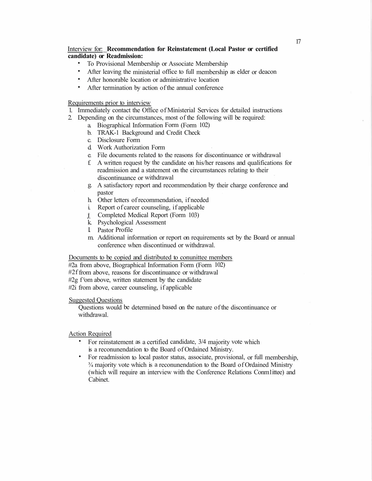#### Interview for: **Recommendation for Reinstatement (Local Pastor or certified candidate) or Readmission:**

- To Provisional Membership or Associate Membership
- After leaving the ministerial office to full membership as elder or deacon
- After honorable location or administrative location
- After termination by action of the annual conference

#### Requirements prior to interview

- 1. Immediately contact the Office of Ministerial Services for detailed instructions
- 2. Depending on the circumstances, most of the following will be required:
	- a. Biographical Information Form (Form 102)
	- b. TRAK-1 Background and Credit Check
	- c. Disclosure Form
	- d. Work Authorization Form
	- e. File documents related to the reasons for discontinuance or withdrawal
	- f. A written request by the candidate on his/her reasons and qualifications for readmission and a statement on the circumstances relating to their discontinuance or withdrawal
	- g. A satisfactory report and recommendation by their charge conference and pastor
	- h. Other letters of recommendation, if needed
	- i. Report of career counseling, if applicable
	- J. Completed Medical Report (Form 103)
	- k. Psychological Assessment
	- I. Pastor Profile
	- m. Additional information or report on requirements set by the Board or annual conference when discontinued or withdrawal.

#### Documents to be copied and distributed to conunittee members

#2a from above, Biographical Information Form (Form 102) #2f from above, reasons for discontinuance or withdrawal #2g f <sup>r</sup>om above, written statement by the candidate #2i from above, career counseling, if applicable

#### Suggested Questions

Questions would be determined based on the nature of the discontinuance or withdrawal.

#### Action Required

- For reinstatement as a certified candidate,  $3/4$  majority vote which is a reconunendation to the Board of Ordained Ministry.
- For readmission to local pastor status, associate, provisional, or full membership, ¾ majority vote which is a reconunendation to the Board of Ordained Ministry (which will require an interview with the Conference Relations Conm1ittee) and Cabinet.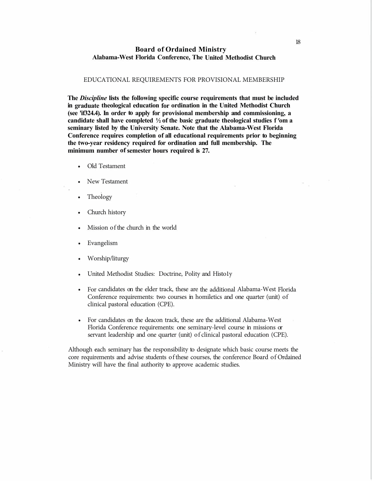#### **Board of Ordained Ministry Alabama-West Florida Conference, The United Methodist Church**

#### EDUCATIONAL REQUIREMENTS FOR PROVISIONAL MEMBERSHIP

**The** *Discipline* **lists the following specific course requirements that must be included in graduate theological education for ordination in the United Methodist Church (see 'if324.4). In order to apply for provisional membership and commissioning, a candidate shall have completed ½ of the basic graduate theological studies f <sup>r</sup>om a seminary listed by the University Senate. Note that the Alabama-West Florida Conference requires completion of all educational requirements prior to beginning the two-year residency required for ordination and full membership. The minimum number of semester hours required is 27.** 

- Old Testament
- New Testament
- Theology
- Church history
- Mission of the church in the world
- Evangelism
- Worship/liturgy
- United Methodist Studies: Doctrine, Polity and Histo1y
- For candidates on the elder track, these are the additional Alabama-West Florida Conference requirements: two courses in homiletics and one quarter (unit) of clinical pastoral education (CPE).
- For candidates on the deacon track, these are the additional Alabama-West Florida Conference requirements: one seminary-level course in missions or servant leadership and one quarter (unit) of clinical pastoral education (CPE).

Although each seminary has the responsibility to designate which basic course meets the core requirements and advise students of these courses, the conference Board of Ordained Ministry will have the final authority to approve academic studies.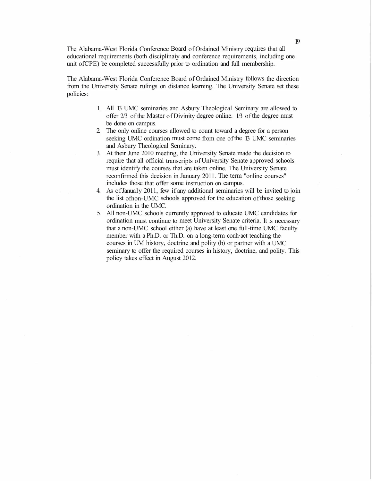The Alabama-West Florida Conference Board of Ordained Ministry requires that all educational requirements (both disciplinaiy and conference requirements, including one unit ofCPE) be completed successfully prior to ordination and full membership.

The Alabama-West Florida Conference Board of Ordained Ministry follows the direction from the University Senate rulings on distance learning. The University Senate set these policies:

- 1. All 13 UMC seminaries and Asbury Theological Seminary are allowed to offer 2/3 of the Master of Divinity degree online. 1/3 of the degree must be done on campus.
- 2. The only online courses allowed to count toward a degree for a person seeking UMC ordination must come from one of the 13 UMC seminaries and Asbury Theological Seminary.
- 3. At their June 2010 meeting, the University Senate made the decision to require that all official transcripts of University Senate approved schools must identify the courses that are taken online. The University Senate reconfirmed this decision in January 2011. The term "online courses" includes those that offer some instruction on campus.
- 4. As of Janua1y 2011, few if any additional seminaries will be invited to join the list ofnon-UMC schools approved for the education of those seeking ordination in the UMC.
- 5. All non-UMC schools currently approved to educate UMC candidates for ordination must continue to meet University Senate criteria. It is necessary that a non-UMC school either (a) have at least one full-time UMC faculty member with a Ph.D. or Th.D. on a long-term conh·act teaching the courses in UM history, doctrine and polity (b) or partner with a UMC seminary to offer the required courses in history, doctrine, and polity. This policy takes effect in August 2012.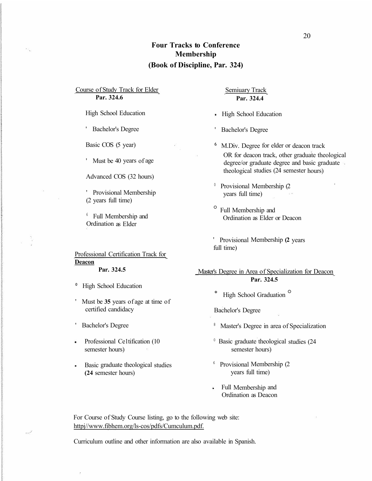## **Four Tracks to Conference Membership (Book of Discipline, Par. 324)**

Course of Study Track for Elder **Par. 324.6** 

 $\sim$   $\frac{1}{2}$  .

High School Education

' Bachelor's Degree

Basic COS (5 year)

' Must be 40 years of age

Advanced COS (32 hours)

' Provisional Membership (2 years full time)

<sup>6</sup> Full Membership and Ordination as Elder

Professional Certification Track for **Deacon Par. 324.5** 

- <sup>0</sup> High School Education
- ' Must be **35** years of age at time of certified candidacy
- ' Bachelor's Degree
- Professional Ce1tification (10 semester hours)
- Basic graduate theological studies **(24** semester hours)

Semiuary Track **Par. 324.4** 

**High School Education** 

' Bachelor's Degree

- <sup>6</sup>M.Div. Degree for elder or deacon track OR for deacon track, other graduate theological degree/or graduate degree and basic graduate theological studies (24 semester hours)
- <sup>0</sup> Provisional Membership (2 years full time)
- ° Full Membership and Ordination as Elder or Deacon
- ' Provisional Membership **(2** years full time)

\_Master's Degree in Area of Specialization for Deacon **Par. 324.5** 

\* High School Graduation °

Bachelor's Degree

- <sup>8</sup> Master's Degree in area of Specialization
- $0$  Basic graduate theological studies (24 semester hours)
- <sup>6</sup> Provisional Membership (2) years full time)
- Full Membership and Ordination as Deacon

For Course of Study Course listing, go to the following web site: httpj//www.fibhem.org/ls-cos/pdfs/Cumculum.pdf.

Curriculum outline and other information are also available in Spanish.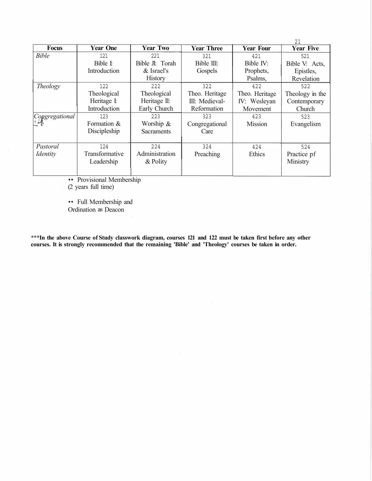| <b>Focus</b>                                                                                                                 | <b>Year One</b> | <b>Year Two</b>   | <b>Year Three</b> | <b>Year Four</b> | 21<br><b>Year Five</b> |
|------------------------------------------------------------------------------------------------------------------------------|-----------------|-------------------|-------------------|------------------|------------------------|
| <b>Bible</b>                                                                                                                 | 121             | 221               | 321               | 421              | 521                    |
|                                                                                                                              | Bible I:        | Bible JI: Torah   | Bible III:        | Bible IV:        | Bible V: Acts,         |
|                                                                                                                              | Introduction    | & Israel's        | Gospels           | Prophets,        | Epistles,              |
|                                                                                                                              |                 | <b>History</b>    |                   | Psalms,          | Revelation             |
| Theology                                                                                                                     | 122             | 222               | 322               | 422              | 522                    |
|                                                                                                                              | Theological     | Theological       | Theo. Heritage    | Theo. Heritage   | Theology in the        |
|                                                                                                                              | Heritage I      | Heritage II:      | III: Medieval-    | IV: Wesleyan     | Contemporary           |
|                                                                                                                              | Introduction    | Early Church      | Reformation       | Movement         | Church                 |
| $\left \underset{\underset{\underset{\longleftarrow}{\leftarrow},\nu}{\text{Congregational}}}{\text{Congregational}}\right $ | 123             | 223               | 323               | 423              | 523                    |
|                                                                                                                              | Formation &     | Worship &         | Congregational    | Mission          | Evangelism             |
|                                                                                                                              | Discipleship    | <b>Sacraments</b> | Care              |                  |                        |
|                                                                                                                              |                 |                   |                   |                  |                        |
| Pastoral                                                                                                                     | 124             | 224               | 324               | 424              | 524                    |
| <i>Identity</i>                                                                                                              | Transformative  | Administration    | Preaching         | Ethics           | Practice pf            |
|                                                                                                                              | Leadership      | & Polity          |                   |                  | Ministry               |
|                                                                                                                              |                 |                   |                   |                  |                        |

• Provisional Membership

(2 years full time)

•• Full Membership and Ordination as Deacon

**\*\*\*In the above Course of Study classwork diagram, courses 121 and 122 must be taken first before any other courses. It is strongly recommended that the remaining 'Bible' and 'Theology' courses be taken in order.**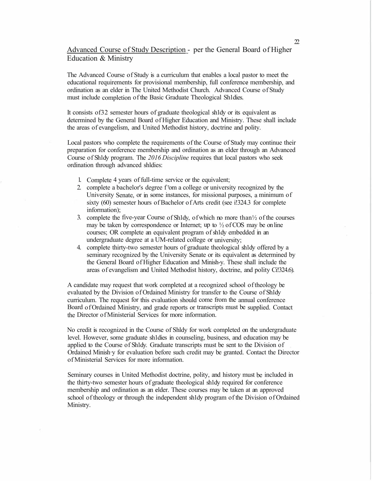Advanced Course of Study Description - per the General Board of Higher Education & Ministry

The Advanced Course of Study is a curriculum that enables a local pastor to meet the educational requirements for provisional membership, full conference membership, and ordination as an elder in The United Methodist Church. Advanced Course of Study must include completion of the Basic Graduate Theological Sh1dies.

It consists of32 semester hours of graduate theological sh1dy or its equivalent as determined by the General Board of Higher Education and Ministry. These shall include the areas of evangelism, and United Methodist history, doctrine and polity.

Local pastors who complete the requirements of the Course of Study may continue their preparation for conference membership and ordination as an elder through an Advanced Course of Sh1dy program. The *2016 Discipline* requires that local pastors who seek ordination through advanced shldies:

- 1. Complete 4 years of full-time service or the equivalent;
- 2. complete a bachelor's degree f <sup>r</sup>om a college or university recognized by the University Senate, or in some instances, for missional purposes, a minimum of sixty (60) semester hours of Bachelor of Arts credit (see i.324.3 for complete information);
- 3. complete the five-year Course of Sh1dy, of which no more than½ of the courses may be taken by correspondence or Internet; up to  $\frac{1}{2}$  of COS may be on line courses; OR complete an equivalent program of sh1dy embedded in an undergraduate degree at a UM-related college or university;
- 4. complete thirty-two semester hours of graduate theological sh1dy offered by a seminary recognized by the University Senate or its equivalent as determined by the General Board of Higher Education and Minish-y. These shall include the areas of evangelism and United Methodist history, doctrine, and polity Ci!324.6).

A candidate may request that work completed at a recognized school of theology be evaluated by the Division of Ordained Ministry for transfer to the Course of Sh1dy curriculum. The request for this evaluation should come from the annual conference Board of Ordained Ministry, and grade reports or transcripts must be supplied. Contact the Director of Ministerial Services for more information.

No credit is recognized in the Course of Shldy for work completed on the undergraduate level. However, some graduate sh1dies in counseling, business, and education may be applied to the Course of Sh1dy. Graduate transcripts must be sent to the Division of Ordained Minish·y for evaluation before such credit may be granted. Contact the Director of Ministerial Services for more information.

Seminary courses in United Methodist doctrine, polity, and history must be included in the thirty-two semester hours of graduate theological sh1dy required for conference membership and ordination as an elder. These courses may be taken at an approved school of theology or through the independent sh1dy program of the Division of Ordained Ministry.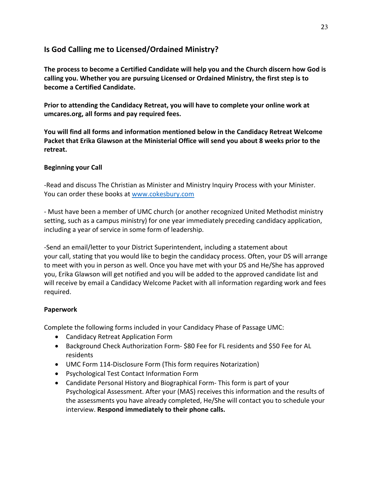## **Is God Calling me to Licensed/Ordained Ministry?**

**The process to become a Certified Candidate will help you and the Church discern how God is calling you. Whether you are pursuing Licensed or Ordained Ministry, the first step is to become a Certified Candidate.**

**Prior to attending the Candidacy Retreat, you will have to complete your online work at umcares.org, all forms and pay required fees.**

**You will find all forms and information mentioned below in the Candidacy Retreat Welcome Packet that Erika Glawson at the Ministerial Office will send you about 8 weeks prior to the retreat.**

## **Beginning your Call**

-Read and discuss The Christian as Minister and Ministry Inquiry Process with your Minister. You can order these books at www.cokesbury.com

- Must have been a member of UMC church (or another recognized United Methodist ministry setting, such as a campus ministry) for one year immediately preceding candidacy application, including a year of service in some form of leadership.

-Send an email/letter to your District Superintendent, including a statement about your call, stating that you would like to begin the candidacy process. Often, your DS will arrange to meet with you in person as well. Once you have met with your DS and He/She has approved you, Erika Glawson will get notified and you will be added to the approved candidate list and will receive by email a Candidacy Welcome Packet with all information regarding work and fees required.

## **Paperwork**

Complete the following forms included in your Candidacy Phase of Passage UMC:

- Candidacy Retreat Application Form
- Background Check Authorization Form- \$80 Fee for FL residents and \$50 Fee for AL residents
- UMC Form 114-Disclosure Form (This form requires Notarization)
- Psychological Test Contact Information Form
- Candidate Personal History and Biographical Form- This form is part of your Psychological Assessment. After your (MAS) receives this information and the results of the assessments you have already completed, He/She will contact you to schedule your interview. **Respond immediately to their phone calls.**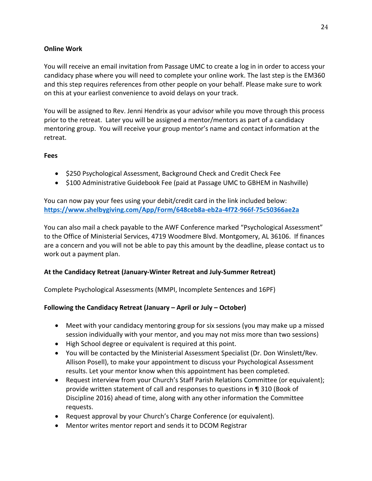## **Online Work**

You will receive an email invitation from Passage UMC to create a log in in order to access your candidacy phase where you will need to complete your online work. The last step is the EM360 and this step requires references from other people on your behalf. Please make sure to work on this at your earliest convenience to avoid delays on your track.

You will be assigned to Rev. Jenni Hendrix as your advisor while you move through this process prior to the retreat. Later you will be assigned a mentor/mentors as part of a candidacy mentoring group. You will receive your group mentor's name and contact information at the retreat.

## **Fees**

- \$250 Psychological Assessment, Background Check and Credit Check Fee
- \$100 Administrative Guidebook Fee (paid at Passage UMC to GBHEM in Nashville)

You can now pay your fees using your debit/credit card in the link included below: **https://www.shelbygiving.com/App/Form/648ceb8a-eb2a-4f72-966f-75c50366ae2a**

You can also mail a check payable to the AWF Conference marked "Psychological Assessment" to the Office of Ministerial Services, 4719 Woodmere Blvd. Montgomery, AL 36106. If finances are a concern and you will not be able to pay this amount by the deadline, please contact us to work out a payment plan.

## **At the Candidacy Retreat (January-Winter Retreat and July-Summer Retreat)**

Complete Psychological Assessments (MMPI, Incomplete Sentences and 16PF)

## **Following the Candidacy Retreat (January – April or July – October)**

- Meet with your candidacy mentoring group for six sessions (you may make up a missed session individually with your mentor, and you may not miss more than two sessions)
- High School degree or equivalent is required at this point.
- You will be contacted by the Ministerial Assessment Specialist (Dr. Don Winslett/Rev. Allison Posell), to make your appointment to discuss your Psychological Assessment results. Let your mentor know when this appointment has been completed.
- Request interview from your Church's Staff Parish Relations Committee (or equivalent); provide written statement of call and responses to questions in ¶ 310 (Book of Discipline 2016) ahead of time, along with any other information the Committee requests.
- Request approval by your Church's Charge Conference (or equivalent).
- Mentor writes mentor report and sends it to DCOM Registrar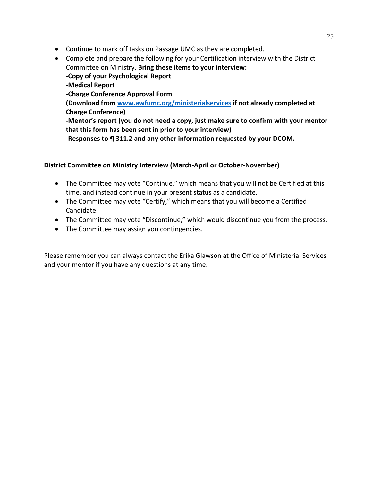- Continue to mark off tasks on Passage UMC as they are completed.
- Complete and prepare the following for your Certification interview with the District Committee on Ministry. **Bring these items to your interview: -Copy of your Psychological Report -Medical Report -Charge Conference Approval Form (Download from www.awfumc.org/ministerialservices if not already completed at Charge Conference) -Mentor's report (you do not need a copy, just make sure to confirm with your mentor that this form has been sent in prior to your interview) -Responses to ¶ 311.2 and any other information requested by your DCOM.**

## **District Committee on Ministry Interview (March-April or October-November)**

- The Committee may vote "Continue," which means that you will not be Certified at this time, and instead continue in your present status as a candidate.
- The Committee may vote "Certify," which means that you will become a Certified Candidate.
- The Committee may vote "Discontinue," which would discontinue you from the process.
- The Committee may assign you contingencies.

Please remember you can always contact the Erika Glawson at the Office of Ministerial Services and your mentor if you have any questions at any time.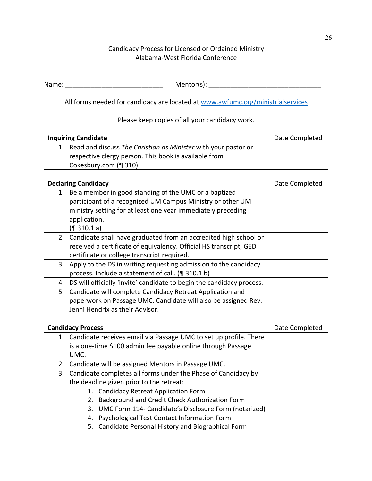## Candidacy Process for Licensed or Ordained Ministry Alabama-West Florida Conference

| Name: | Mentor(s): |
|-------|------------|

All forms needed for candidacy are located at www.awfumc.org/ministrialservices

## Please keep copies of all your candidacy work.

| <b>Inquiring Candidate</b>                                        | Date Completed |
|-------------------------------------------------------------------|----------------|
| 1. Read and discuss The Christian as Minister with your pastor or |                |
| respective clergy person. This book is available from             |                |
| Cokesbury.com (¶ 310)                                             |                |

| <b>Declaring Candidacy</b>                                                                                                                                                                                            | Date Completed |
|-----------------------------------------------------------------------------------------------------------------------------------------------------------------------------------------------------------------------|----------------|
| 1. Be a member in good standing of the UMC or a baptized<br>participant of a recognized UM Campus Ministry or other UM<br>ministry setting for at least one year immediately preceding<br>application.<br>(¶ 310.1 a) |                |
| 2. Candidate shall have graduated from an accredited high school or<br>received a certificate of equivalency. Official HS transcript, GED<br>certificate or college transcript required.                              |                |
| 3. Apply to the DS in writing requesting admission to the candidacy<br>process. Include a statement of call. (¶ 310.1 b)                                                                                              |                |
| DS will officially 'invite' candidate to begin the candidacy process.<br>4.                                                                                                                                           |                |
| Candidate will complete Candidacy Retreat Application and<br>5.<br>paperwork on Passage UMC. Candidate will also be assigned Rev.<br>Jenni Hendrix as their Advisor.                                                  |                |

| <b>Candidacy Process</b>                                             | Date Completed |
|----------------------------------------------------------------------|----------------|
| 1. Candidate receives email via Passage UMC to set up profile. There |                |
| is a one-time \$100 admin fee payable online through Passage         |                |
| UMC.                                                                 |                |
| Candidate will be assigned Mentors in Passage UMC.<br>2.             |                |
| 3. Candidate completes all forms under the Phase of Candidacy by     |                |
| the deadline given prior to the retreat:                             |                |
| 1. Candidacy Retreat Application Form                                |                |
| Background and Credit Check Authorization Form<br>2.                 |                |
| UMC Form 114- Candidate's Disclosure Form (notarized)<br>3.          |                |
| Psychological Test Contact Information Form<br>4.                    |                |
| 5. Candidate Personal History and Biographical Form                  |                |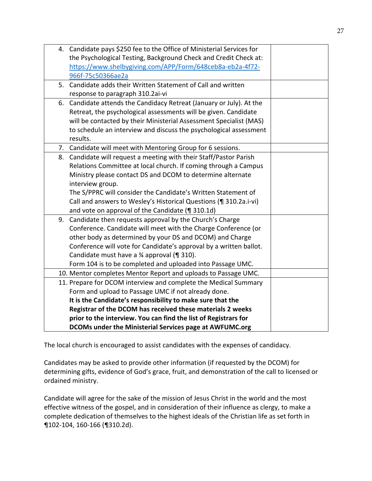|    | 4. Candidate pays \$250 fee to the Office of Ministerial Services for |  |
|----|-----------------------------------------------------------------------|--|
|    | the Psychological Testing, Background Check and Credit Check at:      |  |
|    | https://www.shelbygiving.com/APP/Form/648ceb8a-eb2a-4f72-             |  |
|    | 966f-75c50366ae2a                                                     |  |
| 5. | Candidate adds their Written Statement of Call and written            |  |
|    | response to paragraph 310.2ai-vi                                      |  |
|    | 6. Candidate attends the Candidacy Retreat (January or July). At the  |  |
|    | Retreat, the psychological assessments will be given. Candidate       |  |
|    | will be contacted by their Ministerial Assessment Specialist (MAS)    |  |
|    | to schedule an interview and discuss the psychological assessment     |  |
|    | results.                                                              |  |
|    | 7. Candidate will meet with Mentoring Group for 6 sessions.           |  |
|    | 8. Candidate will request a meeting with their Staff/Pastor Parish    |  |
|    | Relations Committee at local church. If coming through a Campus       |  |
|    | Ministry please contact DS and DCOM to determine alternate            |  |
|    | interview group.                                                      |  |
|    | The S/PPRC will consider the Candidate's Written Statement of         |  |
|    | Call and answers to Wesley's Historical Questions (¶ 310.2a.i-vi)     |  |
|    | and vote on approval of the Candidate (¶ 310.1d)                      |  |
|    | 9. Candidate then requests approval by the Church's Charge            |  |
|    | Conference. Candidate will meet with the Charge Conference (or        |  |
|    | other body as determined by your DS and DCOM) and Charge              |  |
|    | Conference will vote for Candidate's approval by a written ballot.    |  |
|    | Candidate must have a 3⁄4 approval (¶ 310).                           |  |
|    | Form 104 is to be completed and uploaded into Passage UMC.            |  |
|    | 10. Mentor completes Mentor Report and uploads to Passage UMC.        |  |
|    | 11. Prepare for DCOM interview and complete the Medical Summary       |  |
|    | Form and upload to Passage UMC if not already done.                   |  |
|    | It is the Candidate's responsibility to make sure that the            |  |
|    | Registrar of the DCOM has received these materials 2 weeks            |  |
|    | prior to the interview. You can find the list of Registrars for       |  |
|    | DCOMs under the Ministerial Services page at AWFUMC.org               |  |

The local church is encouraged to assist candidates with the expenses of candidacy.

Candidates may be asked to provide other information (if requested by the DCOM) for determining gifts, evidence of God's grace, fruit, and demonstration of the call to licensed or ordained ministry.

Candidate will agree for the sake of the mission of Jesus Christ in the world and the most effective witness of the gospel, and in consideration of their influence as clergy, to make a complete dedication of themselves to the highest ideals of the Christian life as set forth in ¶102-104, 160-166 (¶310.2d).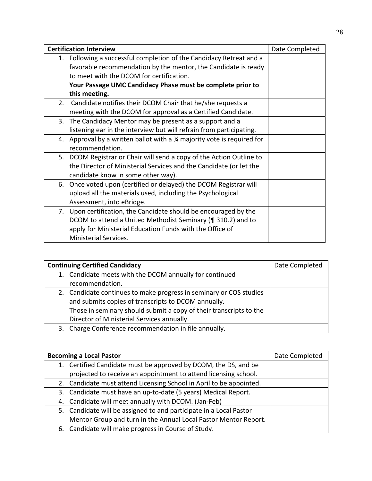|    | <b>Certification Interview</b>                                                     |  |
|----|------------------------------------------------------------------------------------|--|
|    | 1. Following a successful completion of the Candidacy Retreat and a                |  |
|    | favorable recommendation by the mentor, the Candidate is ready                     |  |
|    | to meet with the DCOM for certification.                                           |  |
|    | Your Passage UMC Candidacy Phase must be complete prior to                         |  |
|    | this meeting.                                                                      |  |
|    | 2. Candidate notifies their DCOM Chair that he/she requests a                      |  |
|    | meeting with the DCOM for approval as a Certified Candidate.                       |  |
|    | 3. The Candidacy Mentor may be present as a support and a                          |  |
|    | listening ear in the interview but will refrain from participating.                |  |
|    | 4. Approval by a written ballot with a $\frac{3}{4}$ majority vote is required for |  |
|    | recommendation.                                                                    |  |
| 5. | DCOM Registrar or Chair will send a copy of the Action Outline to                  |  |
|    | the Director of Ministerial Services and the Candidate (or let the                 |  |
|    | candidate know in some other way).                                                 |  |
| 6. | Once voted upon (certified or delayed) the DCOM Registrar will                     |  |
|    | upload all the materials used, including the Psychological                         |  |
|    | Assessment, into eBridge.                                                          |  |
|    | 7. Upon certification, the Candidate should be encouraged by the                   |  |
|    | DCOM to attend a United Methodist Seminary (¶ 310.2) and to                        |  |
|    | apply for Ministerial Education Funds with the Office of                           |  |
|    | Ministerial Services.                                                              |  |

| <b>Continuing Certified Candidacy</b> | Date Completed                                                     |  |
|---------------------------------------|--------------------------------------------------------------------|--|
|                                       | 1. Candidate meets with the DCOM annually for continued            |  |
|                                       | recommendation.                                                    |  |
|                                       | 2. Candidate continues to make progress in seminary or COS studies |  |
|                                       | and submits copies of transcripts to DCOM annually.                |  |
|                                       | Those in seminary should submit a copy of their transcripts to the |  |
|                                       | Director of Ministerial Services annually.                         |  |
|                                       | 3. Charge Conference recommendation in file annually.              |  |

| <b>Becoming a Local Pastor</b>                                      | Date Completed |
|---------------------------------------------------------------------|----------------|
| 1. Certified Candidate must be approved by DCOM, the DS, and be     |                |
| projected to receive an appointment to attend licensing school.     |                |
| 2. Candidate must attend Licensing School in April to be appointed. |                |
| 3. Candidate must have an up-to-date (5 years) Medical Report.      |                |
| 4. Candidate will meet annually with DCOM. (Jan-Feb)                |                |
| 5. Candidate will be assigned to and participate in a Local Pastor  |                |
| Mentor Group and turn in the Annual Local Pastor Mentor Report.     |                |
| 6. Candidate will make progress in Course of Study.                 |                |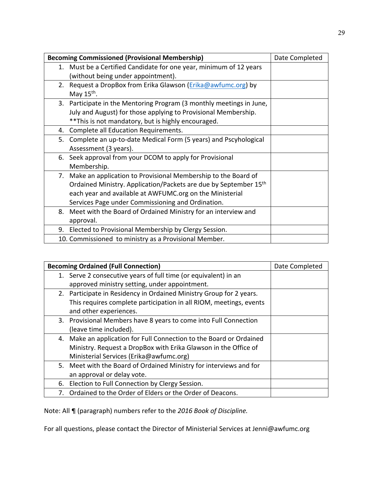| <b>Becoming Commissioned (Provisional Membership)</b> | Date Completed                                                                                                                                                                                                                                                    |  |
|-------------------------------------------------------|-------------------------------------------------------------------------------------------------------------------------------------------------------------------------------------------------------------------------------------------------------------------|--|
|                                                       | 1. Must be a Certified Candidate for one year, minimum of 12 years<br>(without being under appointment).                                                                                                                                                          |  |
| 2.                                                    | Request a DropBox from Erika Glawson (Erika@awfumc.org) by<br>May $15th$ .                                                                                                                                                                                        |  |
|                                                       | 3. Participate in the Mentoring Program (3 monthly meetings in June,<br>July and August) for those applying to Provisional Membership.<br>** This is not mandatory, but is highly encouraged.                                                                     |  |
| 4.                                                    | Complete all Education Requirements.                                                                                                                                                                                                                              |  |
| 5.                                                    | Complete an up-to-date Medical Form (5 years) and Pscyhological<br>Assessment (3 years).                                                                                                                                                                          |  |
| 6.                                                    | Seek approval from your DCOM to apply for Provisional<br>Membership.                                                                                                                                                                                              |  |
|                                                       | 7. Make an application to Provisional Membership to the Board of<br>Ordained Ministry. Application/Packets are due by September 15 <sup>th</sup><br>each year and available at AWFUMC.org on the Ministerial<br>Services Page under Commissioning and Ordination. |  |
| 8.                                                    | Meet with the Board of Ordained Ministry for an interview and<br>approval.                                                                                                                                                                                        |  |
| 9.                                                    | Elected to Provisional Membership by Clergy Session.                                                                                                                                                                                                              |  |
|                                                       | 10. Commissioned to ministry as a Provisional Member.                                                                                                                                                                                                             |  |

| <b>Becoming Ordained (Full Connection)</b> |                                                                     | Date Completed |
|--------------------------------------------|---------------------------------------------------------------------|----------------|
|                                            | 1. Serve 2 consecutive years of full time (or equivalent) in an     |                |
|                                            | approved ministry setting, under appointment.                       |                |
|                                            | 2. Participate in Residency in Ordained Ministry Group for 2 years. |                |
|                                            | This requires complete participation in all RIOM, meetings, events  |                |
|                                            | and other experiences.                                              |                |
|                                            | 3. Provisional Members have 8 years to come into Full Connection    |                |
|                                            | (leave time included).                                              |                |
|                                            | 4. Make an application for Full Connection to the Board or Ordained |                |
|                                            | Ministry. Request a DropBox with Erika Glawson in the Office of     |                |
|                                            | Ministerial Services (Erika@awfumc.org)                             |                |
|                                            | 5. Meet with the Board of Ordained Ministry for interviews and for  |                |
|                                            | an approval or delay vote.                                          |                |
| 6.                                         | Election to Full Connection by Clergy Session.                      |                |
|                                            | Ordained to the Order of Elders or the Order of Deacons.            |                |

Note: All ¶ (paragraph) numbers refer to the *2016 Book of Discipline.*

For all questions, please contact the Director of Ministerial Services at Jenni@awfumc.org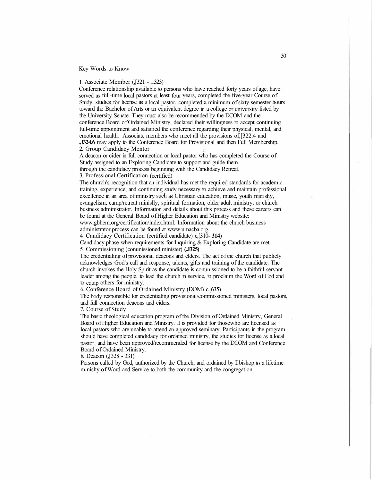Key Words to Know

1. Associate Member (,[321 - ,1323)

Conference relationship available to persons who have reached forty years of age, have served as full-time local pastors at least four years, completed the five-year Course of Study, studies for license as a local pastor, completed a minimum of sixty semester hours toward the Bachelor of Arts or an equivalent degree in a college or university listed by the University Senate. They must also be recommended by the DCOM and the conference Board of Ordained Ministry, declared their willingness to accept continuing full-time appointment and satisfied the conference regarding their physical, mental, and emotional health. Associate members who meet all the provisions of,[322.4 and **,J324.6** may apply to the Conference Board for Provisional and then Full Membership.

2. Group Candidacy Mentor

A deacon or cider in full connection or local pastor who has completed the Course of Study assigned to an Exploring Candidate to support and guide them through the candidacy process beginning with the Candidacy Retreat.

3. Professional Certification (certified)

The church's recognition that an individual has met the required standards for academic training, experience, and continuing study necessary to achieve and maintain professional excellence in an area of ministry such as Christian education, music, youth mini shy, evangelism, camp/retreat minislly, spiritual formation, older adult ministry, or church business administrator. Information and details about this process and these careers can be found at the General Board of Higher Education and Ministry website:

www.gbhem.org/certification/index.html. Information about the church business administrator process can be found at www.umacba.org.

4. Candidacy Certification (certified candidate) c,[310- **314)** 

Candidacy phase when requirements for Inquiring & Exploring Candidate are met. 5. Commissioning (conunissioned minister) **(,J325)** 

The credentialing of provisional deacons and elders. The act of the church that publicly acknowledges God's call and response, talents, gifts and training of the candidate. The church invokes the Holy Spirit as the candidate is conunissioned to be a faithful servant leader among the people, to lead the church in service, to proclaim the Word of God and to equip others for ministry.

6. Conference Iloard of Ordained Ministry (DOM) c,[635)

The body responsible for credentialing provisional/commissioned ministers, local pastors, and full connection deacons and ciders.

7. Course of Study

The basic theological education program of the Division of Ordained Ministry, General Board of Higher Education and Ministry. It is provided for thoscwho are licensed as local pastors who are unable to attend an approved seminary. Participants in the program should have completed candidacy for ordained ministry, the studies for license as a local pastor, and have been approved/recommended for license by the DCOM and Conference Board of Ordained Ministry.

#### 8. Deacon (,[328 - 331)

Persons called by God, authorized by the Church, and ordained by II bishop to a lifetime minishy of Word and Service to both the community and the congregation.